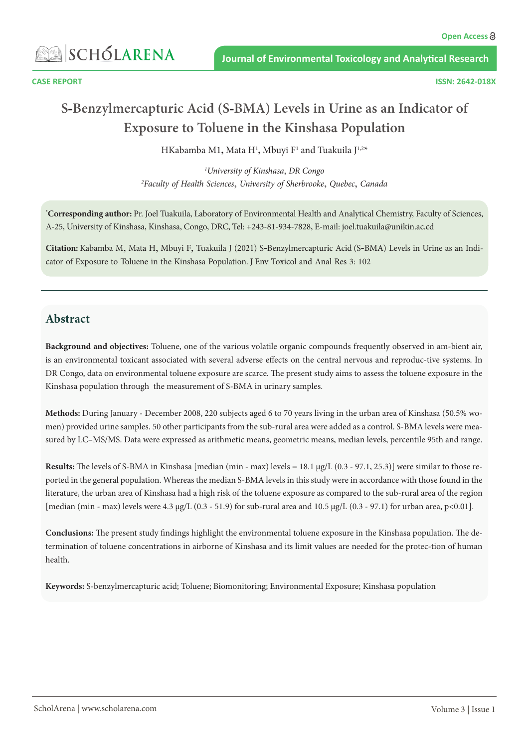**ASSISCHÓLARENA** 

# **S-Benzylmercapturic Acid (S-BMA) Levels in Urine as an Indicator of Exposure to Toluene in the Kinshasa Population**

HKabamba M1**,** Mata H1 **,** Mbuyi F1 and Tuakuila J 1**,**2 \*

*1 University of Kinshasa*, *DR Congo 2 Faculty of Health Sciences*, *University of Sherbrooke*, *Quebec*, *Canada*

**\* Corresponding author:** Pr. Joel Tuakuila, Laboratory of Environmental Health and Analytical Chemistry, Faculty of Sciences, A-25, University of Kinshasa, Kinshasa, Congo, DRC, Tel: +243-81-934-7828, E-mail: [joel.tuakuila@unikin.ac.cd](mailto:joeltuakuila@yahoo.fr)

**Citation:** Kabamba M, Mata H, Mbuyi F, Tuakuila J (2021) S-Benzylmercapturic Acid (S-BMA) Levels in Urine as an Indicator of Exposure to Toluene in the Kinshasa Population. J Env Toxicol and Anal Res 3: 102

### **Abstract**

**Background and objectives:** Toluene, one of the various volatile organic compounds frequently observed in am-bient air, is an environmental toxicant associated with several adverse effects on the central nervous and reproduc-tive systems. In DR Congo, data on environmental toluene exposure are scarce. The present study aims to assess the toluene exposure in the Kinshasa population through the measurement of S-BMA in urinary samples.

**Methods:** During January - December 2008, 220 subjects aged 6 to 70 years living in the urban area of Kinshasa (50.5% women) provided urine samples. 50 other participants from the sub-rural area were added as a control. S-BMA levels were measured by LC–MS/MS. Data were expressed as arithmetic means, geometric means, median levels, percentile 95th and range.

**Results:** The levels of S-BMA in Kinshasa [median (min - max) levels = 18.1 μg/L (0.3 - 97.1, 25.3)] were similar to those reported in the general population. Whereas the median S-BMA levels in this study were in accordance with those found in the literature, the urban area of Kinshasa had a high risk of the toluene exposure as compared to the sub-rural area of the region [median (min - max) levels were 4.3 μg/L (0.3 - 51.9) for sub-rural area and 10.5 μg/L (0.3 - 97.1) for urban area, p<0.01].

**Conclusions:** The present study findings highlight the environmental toluene exposure in the Kinshasa population. The determination of toluene concentrations in airborne of Kinshasa and its limit values are needed for the protec-tion of human health.

**Keywords:** S-benzylmercapturic acid; Toluene; Biomonitoring; Environmental Exposure; Kinshasa population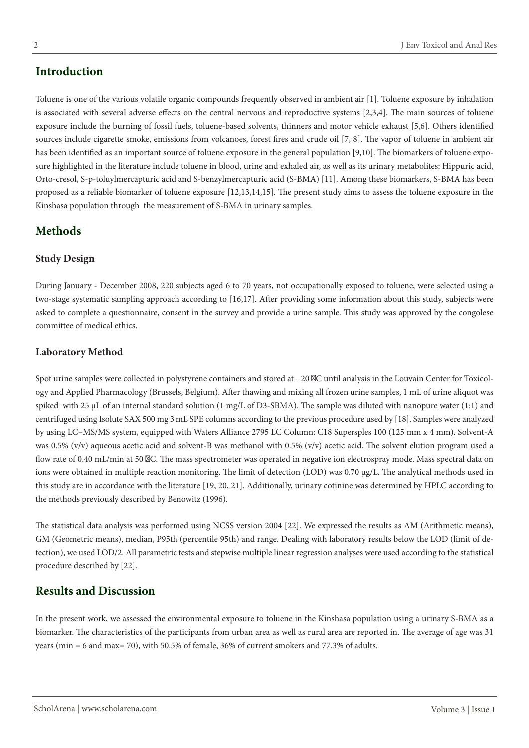# **Introduction**

Toluene is one of the various volatile organic compounds frequently observed in ambient air [1]. Toluene exposure by inhalation is associated with several adverse effects on the central nervous and reproductive systems [2,3,4]. The main sources of toluene exposure include the burning of fossil fuels, toluene-based solvents, thinners and motor vehicle exhaust [5,6]. Others identified sources include cigarette smoke, emissions from volcanoes, forest fires and crude oil [7, 8]. The vapor of toluene in ambient air has been identified as an important source of toluene exposure in the general population [9,10]. The biomarkers of toluene exposure highlighted in the literature include toluene in blood, urine and exhaled air, as well as its urinary metabolites: Hippuric acid, Orto-cresol, S-p-toluylmercapturic acid and S-benzylmercapturic acid (S-BMA) [11]. Among these biomarkers, S-BMA has been proposed as a reliable biomarker of toluene exposure [12,13,14,15]. The present study aims to assess the toluene exposure in the Kinshasa population through the measurement of S-BMA in urinary samples.

## **Methods**

#### **Study Design**

During January - December 2008, 220 subjects aged 6 to 70 years, not occupationally exposed to toluene, were selected using a two-stage systematic sampling approach according to [16,17]. After providing some information about this study, subjects were asked to complete a questionnaire, consent in the survey and provide a urine sample. This study was approved by the congolese committee of medical ethics.

#### **Laboratory Method**

Spot urine samples were collected in polystyrene containers and stored at −20 ◦C until analysis in the Louvain Center for Toxicology and Applied Pharmacology (Brussels, Belgium). After thawing and mixing all frozen urine samples, 1 mL of urine aliquot was spiked with 25  $\mu$ L of an internal standard solution (1 mg/L of D3-SBMA). The sample was diluted with nanopure water (1:1) and centrifuged using Isolute SAX 500 mg 3 mL SPE columns according to the previous procedure used by [18]. Samples were analyzed by using LC–MS/MS system, equipped with Waters Alliance 2795 LC Column: C18 Supersples 100 (125 mm x 4 mm). Solvent-A was 0.5%  $(v/v)$  aqueous acetic acid and solvent-B was methanol with 0.5%  $(v/v)$  acetic acid. The solvent elution program used a flow rate of 0.40 mL/min at 50 C. The mass spectrometer was operated in negative ion electrospray mode. Mass spectral data on ions were obtained in multiple reaction monitoring. The limit of detection (LOD) was 0.70 μg/L. The analytical methods used in this study are in accordance with the literature [19, 20, 21]. Additionally, urinary cotinine was determined by HPLC according to the methods previously described by Benowitz (1996).

The statistical data analysis was performed using NCSS version 2004 [22]. We expressed the results as AM (Arithmetic means), GM (Geometric means), median, P95th (percentile 95th) and range. Dealing with laboratory results below the LOD (limit of detection), we used LOD/2. All parametric tests and stepwise multiple linear regression analyses were used according to the statistical procedure described by [22].

# **Results and Discussion**

In the present work, we assessed the environmental exposure to toluene in the Kinshasa population using a urinary S-BMA as a biomarker. The characteristics of the participants from urban area as well as rural area are reported in. The average of age was 31 years (min = 6 and max= 70), with 50.5% of female, 36% of current smokers and 77.3% of adults.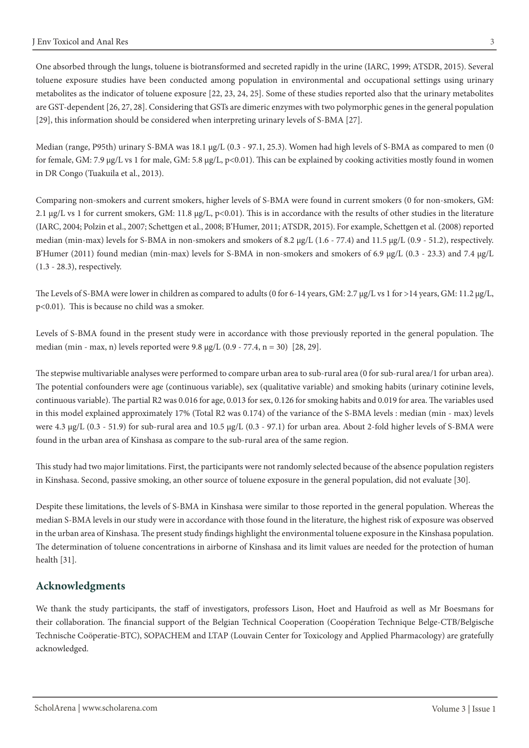One absorbed through the lungs, toluene is biotransformed and secreted rapidly in the urine (IARC, 1999; ATSDR, 2015). Several toluene exposure studies have been conducted among population in environmental and occupational settings using urinary metabolites as the indicator of toluene exposure [22, 23, 24, 25]. Some of these studies reported also that the urinary metabolites are GST-dependent [26, 27, 28]. Considering that GSTs are dimeric enzymes with two polymorphic genes in the general population [29], this information should be considered when interpreting urinary levels of S-BMA [27].

Median (range, P95th) urinary S-BMA was 18.1 μg/L (0.3 - 97.1, 25.3). Women had high levels of S-BMA as compared to men (0 for female, GM: 7.9 μg/L vs 1 for male, GM: 5.8 μg/L,  $p<0.01$ ). This can be explained by cooking activities mostly found in women in DR Congo (Tuakuila et al., 2013).

Comparing non-smokers and current smokers, higher levels of S-BMA were found in current smokers (0 for non-smokers, GM: 2.1 μg/L vs 1 for current smokers, GM: 11.8 μg/L, p<0.01). This is in accordance with the results of other studies in the literature (IARC, 2004; Polzin et al., 2007; Schettgen et al., 2008; B'Humer, 2011; ATSDR, 2015). For example, Schettgen et al. (2008) reported median (min-max) levels for S-BMA in non-smokers and smokers of 8.2 μg/L (1.6 - 77.4) and 11.5 μg/L (0.9 - 51.2), respectively. B'Humer (2011) found median (min-max) levels for S-BMA in non-smokers and smokers of 6.9 μg/L (0.3 - 23.3) and 7.4 μg/L (1.3 - 28.3), respectively.

The Levels of S-BMA were lower in children as compared to adults (0 for 6-14 years, GM: 2.7 μg/L vs 1 for >14 years, GM: 11.2 μg/L, p<0.01). This is because no child was a smoker.

Levels of S-BMA found in the present study were in accordance with those previously reported in the general population. The median (min - max, n) levels reported were  $9.8 \mu g/L (0.9 - 77.4, n = 30)$  [28, 29].

The stepwise multivariable analyses were performed to compare urban area to sub-rural area (0 for sub-rural area/1 for urban area). The potential confounders were age (continuous variable), sex (qualitative variable) and smoking habits (urinary cotinine levels, continuous variable). The partial R2 was 0.016 for age, 0.013 for sex, 0.126 for smoking habits and 0.019 for area. The variables used in this model explained approximately 17% (Total R2 was 0.174) of the variance of the S-BMA levels : median (min - max) levels were 4.3 μg/L (0.3 - 51.9) for sub-rural area and 10.5 μg/L (0.3 - 97.1) for urban area. About 2-fold higher levels of S-BMA were found in the urban area of Kinshasa as compare to the sub-rural area of the same region.

This study had two major limitations. First, the participants were not randomly selected because of the absence population registers in Kinshasa. Second, passive smoking, an other source of toluene exposure in the general population, did not evaluate [30].

Despite these limitations, the levels of S-BMA in Kinshasa were similar to those reported in the general population. Whereas the median S-BMA levels in our study were in accordance with those found in the literature, the highest risk of exposure was observed in the urban area of Kinshasa. The present study findings highlight the environmental toluene exposure in the Kinshasa population. The determination of toluene concentrations in airborne of Kinshasa and its limit values are needed for the protection of human health [31].

#### **Acknowledgments**

We thank the study participants, the staff of investigators, professors Lison, Hoet and Haufroid as well as Mr Boesmans for their collaboration. The financial support of the Belgian Technical Cooperation (Coopération Technique Belge-CTB/Belgische Technische Coöperatie-BTC), SOPACHEM and LTAP (Louvain Center for Toxicology and Applied Pharmacology) are gratefully acknowledged.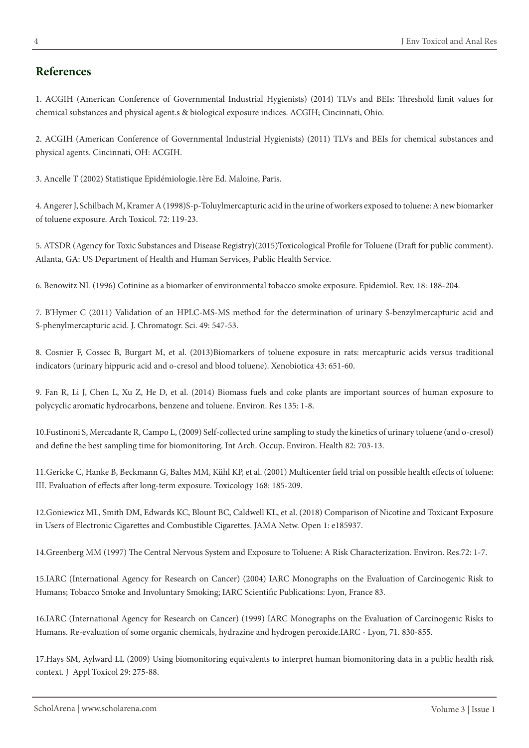### **References**

1. ACGIH (American Conference of Governmental Industrial Hygienists) (2014) TLVs and BEIs: Threshold limit values for chemical substances and physical agent.s & biological exposure indices. ACGIH; Cincinnati, Ohio.

2. ACGIH (American Conference of Governmental Industrial Hygienists) (2011) TLVs and BEIs for chemical substances and physical agents. Cincinnati, OH: ACGIH.

3. Ancelle T (2002) Statistique Epidémiologie.1ère Ed. Maloine, Paris.

4. Angerer J, Schilbach M, Kramer A (1998)S-p-Toluylmercapturic acid in the urine of workers exposed to toluene: A new biomarker of toluene exposure. Arch Toxicol. 72: 119-23.

5. ATSDR (Agency for Toxic Substances and Disease Registry)(2015)Toxicological Profile for Toluene (Draft for public comment). Atlanta, GA: US Department of Health and Human Services, Public Health Service.

6. Benowitz NL (1996) Cotinine as a biomarker of environmental tobacco smoke exposure. Epidemiol. Rev. 18: 188-204.

7. B'Hymer C (2011) Validation of an HPLC-MS-MS method for the determination of urinary S-benzylmercapturic acid and S-phenylmercapturic acid. J. Chromatogr. Sci. 49: 547-53.

8. Cosnier F, Cossec B, Burgart M, et al. (2013)Biomarkers of toluene exposure in rats: mercapturic acids versus traditional indicators (urinary hippuric acid and o-cresol and blood toluene). Xenobiotica 43: 651-60.

9. Fan R, Li J, Chen L, Xu Z, He D, et al. (2014) Biomass fuels and coke plants are important sources of human exposure to polycyclic aromatic hydrocarbons, benzene and toluene. Environ. Res 135: 1-8.

10.Fustinoni S, Mercadante R, Campo L, (2009) Self-collected urine sampling to study the kinetics of urinary toluene (and o-cresol) and define the best sampling time for biomonitoring. Int Arch. Occup. Environ. Health 82: 703-13.

11.Gericke C, Hanke B, Beckmann G, Baltes MM, Kühl KP, et al. (2001) Multicenter field trial on possible health effects of toluene: III. Evaluation of effects after long-term exposure. Toxicology 168: 185-209.

12.Goniewicz ML, Smith DM, Edwards KC, Blount BC, Caldwell KL, et al. (2018) Comparison of Nicotine and Toxicant Exposure in Users of Electronic Cigarettes and Combustible Cigarettes. JAMA Netw. Open 1: e185937.

14.Greenberg MM (1997) The Central Nervous System and Exposure to Toluene: A Risk Characterization. Environ. Res.72: 1-7.

15.IARC (International Agency for Research on Cancer) (2004) IARC Monographs on the Evaluation of Carcinogenic Risk to Humans; Tobacco Smoke and Involuntary Smoking; IARC Scientific Publications: Lyon, France 83.

16.IARC (International Agency for Research on Cancer) (1999) IARC Monographs on the Evaluation of Carcinogenic Risks to Humans. Re-evaluation of some organic chemicals, hydrazine and hydrogen peroxide.IARC - Lyon, 71. 830-855.

17.Hays SM, Aylward LL (2009) Using biomonitoring equivalents to interpret human biomonitoring data in a public health risk context. J Appl Toxicol 29: 275-88.